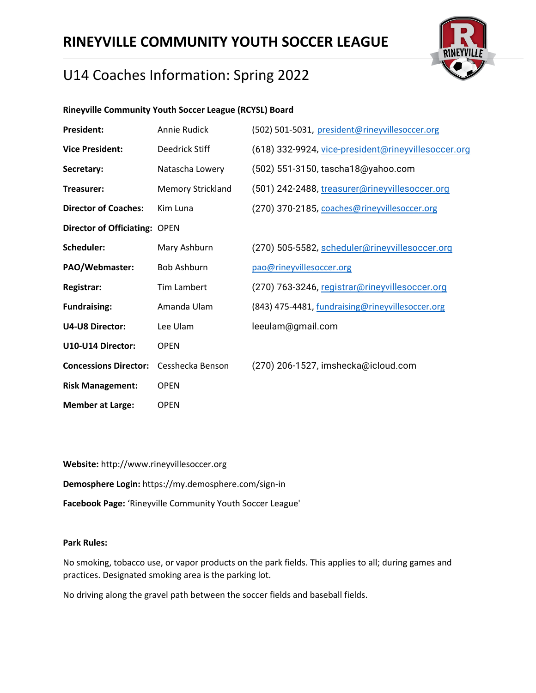

# U14 Coaches Information: Spring 2022

### **Rineyville Community Youth Soccer League (RCYSL) Board**

| <b>President:</b>                    | Annie Rudick             | (502) 501-5031, president@rineyvillesoccer.org      |
|--------------------------------------|--------------------------|-----------------------------------------------------|
| <b>Vice President:</b>               | Deedrick Stiff           | (618) 332-9924, vice-president@rineyvillesoccer.org |
| Secretary:                           | Natascha Lowery          | (502) 551-3150, tascha18@yahoo.com                  |
| Treasurer:                           | <b>Memory Strickland</b> | (501) 242-2488, treasurer@rineyvillesoccer.org      |
| <b>Director of Coaches:</b>          | Kim Luna                 | (270) 370-2185, coaches@rineyvillesoccer.org        |
| <b>Director of Officiating: OPEN</b> |                          |                                                     |
| Scheduler:                           | Mary Ashburn             | (270) 505-5582, scheduler@rineyvillesoccer.org      |
| PAO/Webmaster:                       | <b>Bob Ashburn</b>       | pao@rineyvillesoccer.org                            |
| Registrar:                           | Tim Lambert              | (270) 763-3246, registrar@rineyvillesoccer.org      |
| <b>Fundraising:</b>                  | Amanda Ulam              | (843) 475-4481, fundraising@rineyvillesoccer.org    |
| <b>U4-U8 Director:</b>               | Lee Ulam                 | leeulam@gmail.com                                   |
| U10-U14 Director:                    | <b>OPEN</b>              |                                                     |
| <b>Concessions Director:</b>         | Cesshecka Benson         | (270) 206-1527, imshecka@icloud.com                 |
| <b>Risk Management:</b>              | <b>OPEN</b>              |                                                     |
| <b>Member at Large:</b>              | <b>OPEN</b>              |                                                     |

**Website:** http://www.rineyvillesoccer.org **Demosphere Login:** https://my.demosphere.com/sign-in **Facebook Page:** 'Rineyville Community Youth Soccer League'

#### **Park Rules:**

No smoking, tobacco use, or vapor products on the park fields. This applies to all; during games and practices. Designated smoking area is the parking lot.

No driving along the gravel path between the soccer fields and baseball fields.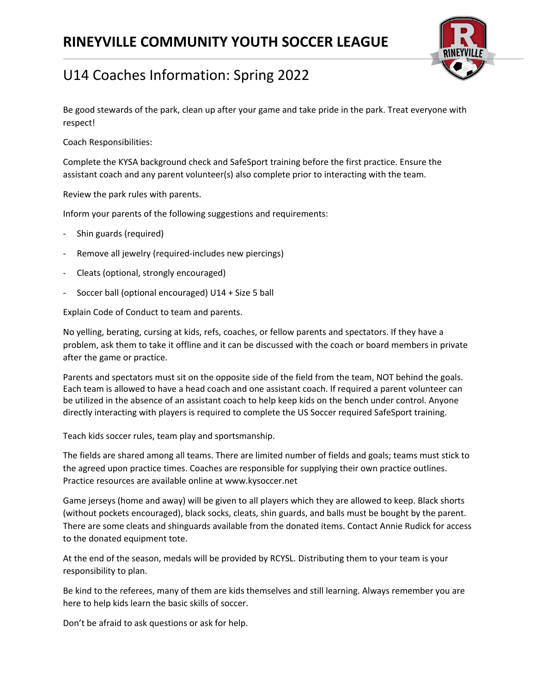

Be good stewards of the park, clean up after your game and take pride in the park. Treat everyone with respect!

Coach Responsibilities:

Complete the KYSA background check and SafeSport training before the first practice. Ensure the assistant coach and any parent volunteer(s) also complete prior to interacting with the team.

Review the park rules with parents.

Inform your parents of the following suggestions and requirements:

- Shin guards (required)
- Remove all jewelry (required-includes new piercings)
- Cleats (optional, strongly encouraged)
- Soccer ball (optional encouraged) U14 + Size 5 ball

Explain Code of Conduct to team and parents.

No yelling, berating, cursing at kids, refs, coaches, or fellow parents and spectators. If they have a problem, ask them to take it offline and it can be discussed with the coach or board members in private after the game or practice.

Parents and spectators must sit on the opposite side of the field from the team, NOT behind the goals. Each team is allowed to have a head coach and one assistant coach. If required a parent volunteer can be utilized in the absence of an assistant coach to help keep kids on the bench under control. Anyone directly interacting with players is required to complete the US Soccer required SafeSport training.

Teach kids soccer rules, team play and sportsmanship.

The fields are shared among all teams. There are limited number of fields and goals; teams must stick to the agreed upon practice times. Coaches are responsible for supplying their own practice outlines. Practice resources are available online at www.kysoccer.net

Game jerseys (home and away) will be given to all players which they are allowed to keep. Black shorts (without pockets encouraged), black socks, cleats, shin guards, and balls must be bought by the parent. There are some cleats and shinguards available from the donated items. Contact Annie Rudick for access to the donated equipment tote.

At the end of the season, medals will be provided by RCYSL. Distributing them to your team is your responsibility to plan.

Be kind to the referees, many of them are kids themselves and still learning. Always remember you are here to help kids learn the basic skills of soccer.

Don't be afraid to ask questions or ask for help.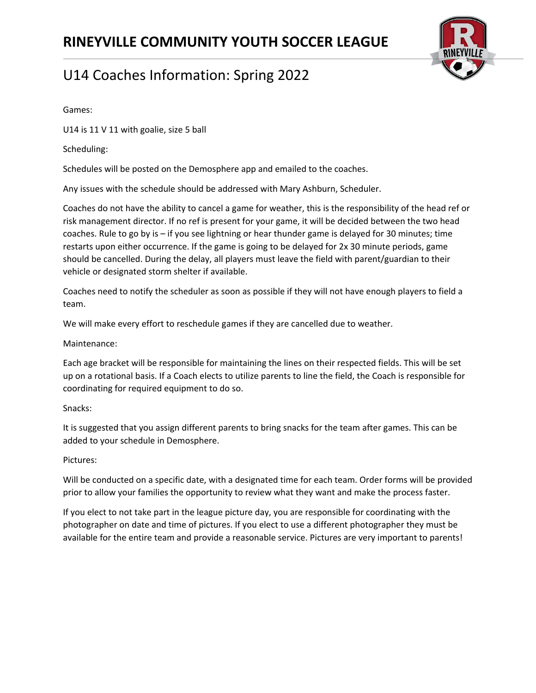

Games:

U14 is 11 V 11 with goalie, size 5 ball

Scheduling:

Schedules will be posted on the Demosphere app and emailed to the coaches.

Any issues with the schedule should be addressed with Mary Ashburn, Scheduler.

Coaches do not have the ability to cancel a game for weather, this is the responsibility of the head ref or risk management director. If no ref is present for your game, it will be decided between the two head coaches. Rule to go by is – if you see lightning or hear thunder game is delayed for 30 minutes; time restarts upon either occurrence. If the game is going to be delayed for 2x 30 minute periods, game should be cancelled. During the delay, all players must leave the field with parent/guardian to their vehicle or designated storm shelter if available.

Coaches need to notify the scheduler as soon as possible if they will not have enough players to field a team.

We will make every effort to reschedule games if they are cancelled due to weather.

Maintenance:

Each age bracket will be responsible for maintaining the lines on their respected fields. This will be set up on a rotational basis. If a Coach elects to utilize parents to line the field, the Coach is responsible for coordinating for required equipment to do so.

#### Snacks:

It is suggested that you assign different parents to bring snacks for the team after games. This can be added to your schedule in Demosphere.

#### Pictures:

Will be conducted on a specific date, with a designated time for each team. Order forms will be provided prior to allow your families the opportunity to review what they want and make the process faster.

If you elect to not take part in the league picture day, you are responsible for coordinating with the photographer on date and time of pictures. If you elect to use a different photographer they must be available for the entire team and provide a reasonable service. Pictures are very important to parents!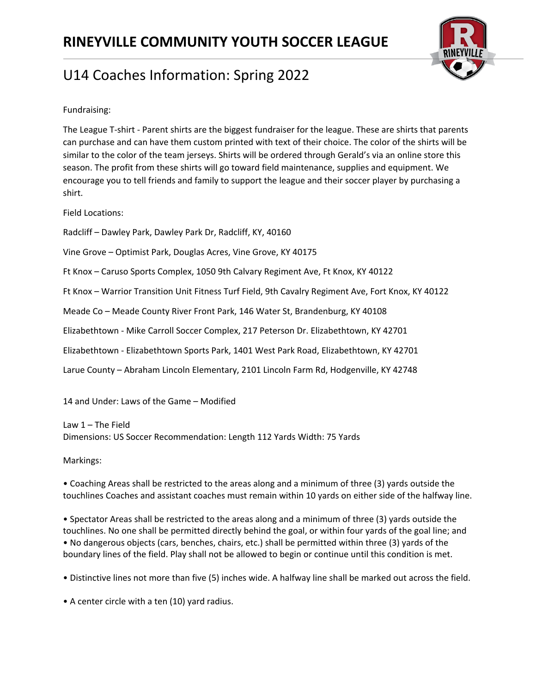

Fundraising:

The League T-shirt - Parent shirts are the biggest fundraiser for the league. These are shirts that parents can purchase and can have them custom printed with text of their choice. The color of the shirts will be similar to the color of the team jerseys. Shirts will be ordered through Gerald's via an online store this season. The profit from these shirts will go toward field maintenance, supplies and equipment. We encourage you to tell friends and family to support the league and their soccer player by purchasing a shirt.

Field Locations:

Radcliff – Dawley Park, Dawley Park Dr, Radcliff, KY, 40160

Vine Grove – Optimist Park, Douglas Acres, Vine Grove, KY 40175

Ft Knox – Caruso Sports Complex, 1050 9th Calvary Regiment Ave, Ft Knox, KY 40122

Ft Knox – Warrior Transition Unit Fitness Turf Field, 9th Cavalry Regiment Ave, Fort Knox, KY 40122

Meade Co – Meade County River Front Park, 146 Water St, Brandenburg, KY 40108

Elizabethtown - Mike Carroll Soccer Complex, 217 Peterson Dr. Elizabethtown, KY 42701

Elizabethtown - Elizabethtown Sports Park, 1401 West Park Road, Elizabethtown, KY 42701

Larue County – Abraham Lincoln Elementary, 2101 Lincoln Farm Rd, Hodgenville, KY 42748

14 and Under: Laws of the Game – Modified

Law 1 – The Field Dimensions: US Soccer Recommendation: Length 112 Yards Width: 75 Yards

Markings:

• Coaching Areas shall be restricted to the areas along and a minimum of three (3) yards outside the touchlines Coaches and assistant coaches must remain within 10 yards on either side of the halfway line.

• Spectator Areas shall be restricted to the areas along and a minimum of three (3) yards outside the touchlines. No one shall be permitted directly behind the goal, or within four yards of the goal line; and • No dangerous objects (cars, benches, chairs, etc.) shall be permitted within three (3) yards of the boundary lines of the field. Play shall not be allowed to begin or continue until this condition is met.

• Distinctive lines not more than five (5) inches wide. A halfway line shall be marked out across the field.

• A center circle with a ten (10) yard radius.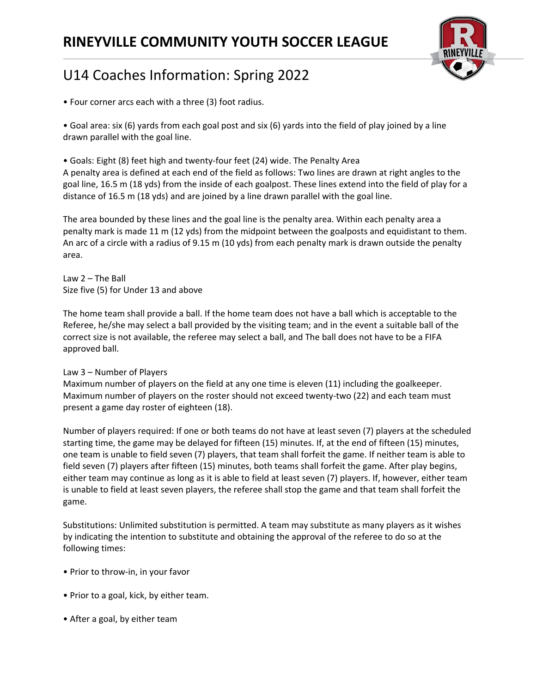

• Four corner arcs each with a three (3) foot radius.

• Goal area: six (6) yards from each goal post and six (6) yards into the field of play joined by a line drawn parallel with the goal line.

• Goals: Eight (8) feet high and twenty-four feet (24) wide. The Penalty Area A penalty area is defined at each end of the field as follows: Two lines are drawn at right angles to the goal line, 16.5 m (18 yds) from the inside of each goalpost. These lines extend into the field of play for a distance of 16.5 m (18 yds) and are joined by a line drawn parallel with the goal line.

The area bounded by these lines and the goal line is the penalty area. Within each penalty area a penalty mark is made 11 m (12 yds) from the midpoint between the goalposts and equidistant to them. An arc of a circle with a radius of 9.15 m (10 yds) from each penalty mark is drawn outside the penalty area.

Law 2 – The Ball Size five (5) for Under 13 and above

The home team shall provide a ball. If the home team does not have a ball which is acceptable to the Referee, he/she may select a ball provided by the visiting team; and in the event a suitable ball of the correct size is not available, the referee may select a ball, and The ball does not have to be a FIFA approved ball.

#### Law 3 – Number of Players

Maximum number of players on the field at any one time is eleven (11) including the goalkeeper. Maximum number of players on the roster should not exceed twenty-two (22) and each team must present a game day roster of eighteen (18).

Number of players required: If one or both teams do not have at least seven (7) players at the scheduled starting time, the game may be delayed for fifteen (15) minutes. If, at the end of fifteen (15) minutes, one team is unable to field seven (7) players, that team shall forfeit the game. If neither team is able to field seven (7) players after fifteen (15) minutes, both teams shall forfeit the game. After play begins, either team may continue as long as it is able to field at least seven (7) players. If, however, either team is unable to field at least seven players, the referee shall stop the game and that team shall forfeit the game.

Substitutions: Unlimited substitution is permitted. A team may substitute as many players as it wishes by indicating the intention to substitute and obtaining the approval of the referee to do so at the following times:

- Prior to throw-in, in your favor
- Prior to a goal, kick, by either team.
- After a goal, by either team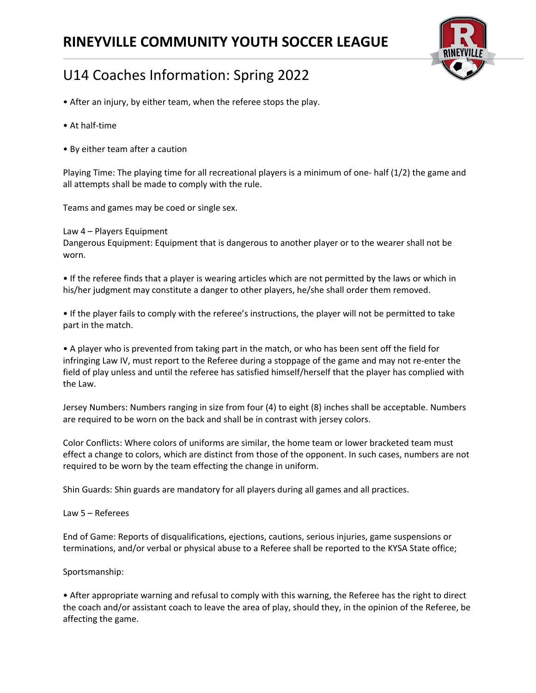

# U14 Coaches Information: Spring 2022

- After an injury, by either team, when the referee stops the play.
- At half-time
- By either team after a caution

Playing Time: The playing time for all recreational players is a minimum of one- half (1/2) the game and all attempts shall be made to comply with the rule.

Teams and games may be coed or single sex.

Law 4 – Players Equipment Dangerous Equipment: Equipment that is dangerous to another player or to the wearer shall not be worn.

• If the referee finds that a player is wearing articles which are not permitted by the laws or which in his/her judgment may constitute a danger to other players, he/she shall order them removed.

• If the player fails to comply with the referee's instructions, the player will not be permitted to take part in the match.

• A player who is prevented from taking part in the match, or who has been sent off the field for infringing Law IV, must report to the Referee during a stoppage of the game and may not re-enter the field of play unless and until the referee has satisfied himself/herself that the player has complied with the Law.

Jersey Numbers: Numbers ranging in size from four (4) to eight (8) inches shall be acceptable. Numbers are required to be worn on the back and shall be in contrast with jersey colors.

Color Conflicts: Where colors of uniforms are similar, the home team or lower bracketed team must effect a change to colors, which are distinct from those of the opponent. In such cases, numbers are not required to be worn by the team effecting the change in uniform.

Shin Guards: Shin guards are mandatory for all players during all games and all practices.

Law 5 – Referees

End of Game: Reports of disqualifications, ejections, cautions, serious injuries, game suspensions or terminations, and/or verbal or physical abuse to a Referee shall be reported to the KYSA State office;

Sportsmanship:

• After appropriate warning and refusal to comply with this warning, the Referee has the right to direct the coach and/or assistant coach to leave the area of play, should they, in the opinion of the Referee, be affecting the game.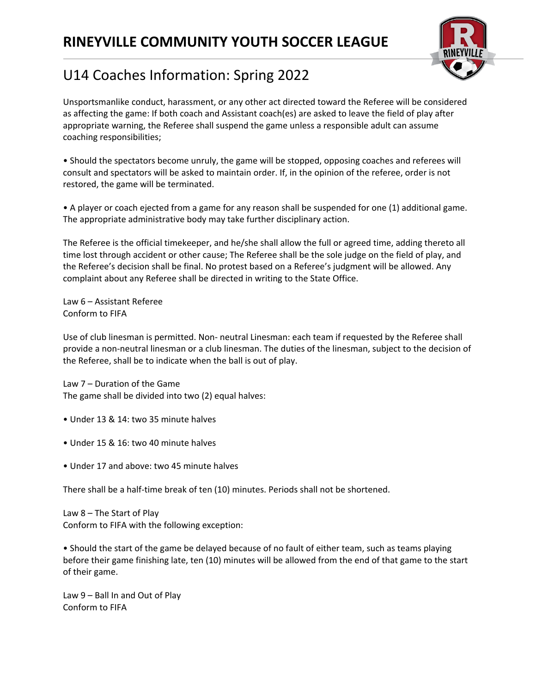

Unsportsmanlike conduct, harassment, or any other act directed toward the Referee will be considered as affecting the game: If both coach and Assistant coach(es) are asked to leave the field of play after appropriate warning, the Referee shall suspend the game unless a responsible adult can assume coaching responsibilities;

• Should the spectators become unruly, the game will be stopped, opposing coaches and referees will consult and spectators will be asked to maintain order. If, in the opinion of the referee, order is not restored, the game will be terminated.

• A player or coach ejected from a game for any reason shall be suspended for one (1) additional game. The appropriate administrative body may take further disciplinary action.

The Referee is the official timekeeper, and he/she shall allow the full or agreed time, adding thereto all time lost through accident or other cause; The Referee shall be the sole judge on the field of play, and the Referee's decision shall be final. No protest based on a Referee's judgment will be allowed. Any complaint about any Referee shall be directed in writing to the State Office.

Law 6 – Assistant Referee Conform to FIFA

Use of club linesman is permitted. Non- neutral Linesman: each team if requested by the Referee shall provide a non-neutral linesman or a club linesman. The duties of the linesman, subject to the decision of the Referee, shall be to indicate when the ball is out of play.

Law 7 – Duration of the Game The game shall be divided into two (2) equal halves:

- Under 13 & 14: two 35 minute halves
- Under 15 & 16: two 40 minute halves
- Under 17 and above: two 45 minute halves

There shall be a half-time break of ten (10) minutes. Periods shall not be shortened.

Law 8 – The Start of Play Conform to FIFA with the following exception:

• Should the start of the game be delayed because of no fault of either team, such as teams playing before their game finishing late, ten (10) minutes will be allowed from the end of that game to the start of their game.

Law 9 – Ball In and Out of Play Conform to FIFA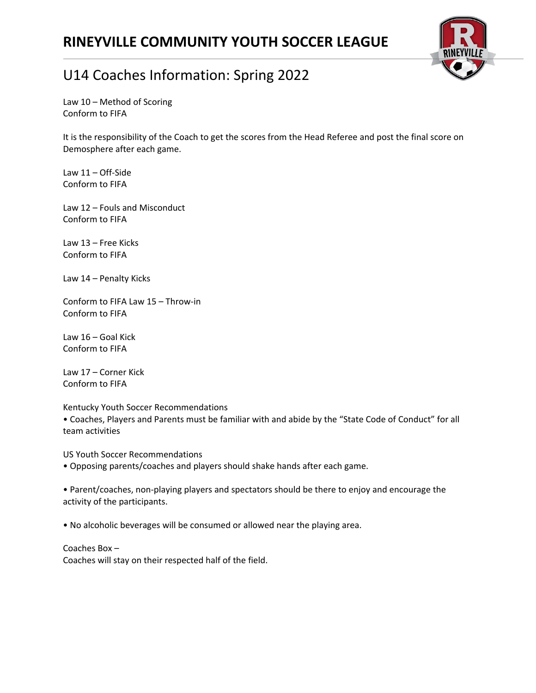

## U14 Coaches Information: Spring 2022

Law 10 – Method of Scoring Conform to FIFA

It is the responsibility of the Coach to get the scores from the Head Referee and post the final score on Demosphere after each game.

Law 11 – Off-Side Conform to FIFA

Law 12 – Fouls and Misconduct Conform to FIFA

Law 13 – Free Kicks Conform to FIFA

Law 14 – Penalty Kicks

Conform to FIFA Law 15 – Throw-in Conform to FIFA

Law 16 – Goal Kick Conform to FIFA

Law 17 – Corner Kick Conform to FIFA

Kentucky Youth Soccer Recommendations

• Coaches, Players and Parents must be familiar with and abide by the "State Code of Conduct" for all team activities

US Youth Soccer Recommendations

• Opposing parents/coaches and players should shake hands after each game.

• Parent/coaches, non-playing players and spectators should be there to enjoy and encourage the activity of the participants.

• No alcoholic beverages will be consumed or allowed near the playing area.

Coaches Box – Coaches will stay on their respected half of the field.